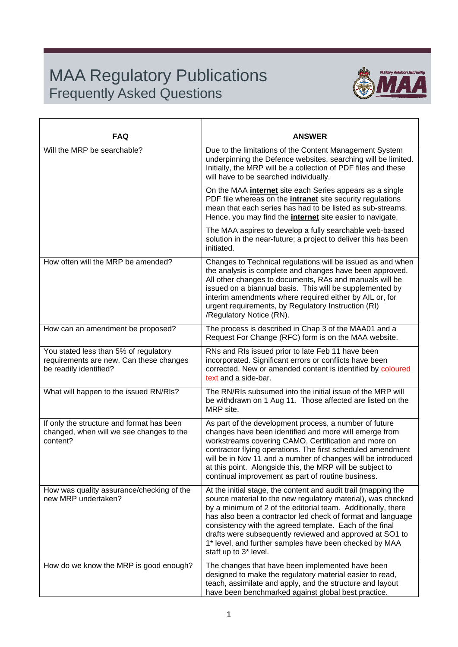## MAA Regulatory Publications Frequently Asked Questions



| <b>FAQ</b>                                                                                                 | <b>ANSWER</b>                                                                                                                                                                                                                                                                                                                                                                                                                                                           |
|------------------------------------------------------------------------------------------------------------|-------------------------------------------------------------------------------------------------------------------------------------------------------------------------------------------------------------------------------------------------------------------------------------------------------------------------------------------------------------------------------------------------------------------------------------------------------------------------|
| Will the MRP be searchable?                                                                                | Due to the limitations of the Content Management System<br>underpinning the Defence websites, searching will be limited.<br>Initially, the MRP will be a collection of PDF files and these<br>will have to be searched individually.                                                                                                                                                                                                                                    |
|                                                                                                            | On the MAA <i>internet</i> site each Series appears as a single<br>PDF file whereas on the <i>intranet</i> site security regulations<br>mean that each series has had to be listed as sub-streams.<br>Hence, you may find the <i>internet</i> site easier to navigate.                                                                                                                                                                                                  |
|                                                                                                            | The MAA aspires to develop a fully searchable web-based<br>solution in the near-future; a project to deliver this has been<br>initiated.                                                                                                                                                                                                                                                                                                                                |
| How often will the MRP be amended?                                                                         | Changes to Technical regulations will be issued as and when<br>the analysis is complete and changes have been approved.<br>All other changes to documents, RAs and manuals will be<br>issued on a biannual basis. This will be supplemented by<br>interim amendments where required either by AIL or, for<br>urgent requirements, by Regulatory Instruction (RI)<br>/Regulatory Notice (RN).                                                                            |
| How can an amendment be proposed?                                                                          | The process is described in Chap 3 of the MAA01 and a<br>Request For Change (RFC) form is on the MAA website.                                                                                                                                                                                                                                                                                                                                                           |
| You stated less than 5% of regulatory<br>requirements are new. Can these changes<br>be readily identified? | RNs and RIs issued prior to late Feb 11 have been<br>incorporated. Significant errors or conflicts have been<br>corrected. New or amended content is identified by coloured<br>text and a side-bar.                                                                                                                                                                                                                                                                     |
| What will happen to the issued RN/RIs?                                                                     | The RN/RIs subsumed into the initial issue of the MRP will<br>be withdrawn on 1 Aug 11. Those affected are listed on the<br>MRP site.                                                                                                                                                                                                                                                                                                                                   |
| If only the structure and format has been<br>changed, when will we see changes to the<br>content?          | As part of the development process, a number of future<br>changes have been identified and more will emerge from<br>workstreams covering CAMO, Certification and more on<br>contractor flying operations. The first scheduled amendment<br>will be in Nov 11 and a number of changes will be introduced<br>at this point. Alongside this, the MRP will be subject to<br>continual improvement as part of routine business.                                              |
| How was quality assurance/checking of the<br>new MRP undertaken?                                           | At the initial stage, the content and audit trail (mapping the<br>source material to the new regulatory material), was checked<br>by a minimum of 2 of the editorial team. Additionally, there<br>has also been a contractor led check of format and language<br>consistency with the agreed template. Each of the final<br>drafts were subsequently reviewed and approved at SO1 to<br>1* level, and further samples have been checked by MAA<br>staff up to 3* level. |
| How do we know the MRP is good enough?                                                                     | The changes that have been implemented have been<br>designed to make the regulatory material easier to read,<br>teach, assimilate and apply, and the structure and layout<br>have been benchmarked against global best practice.                                                                                                                                                                                                                                        |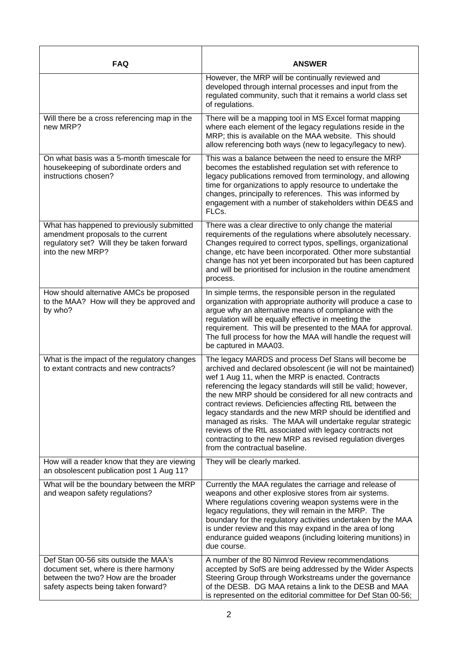| <b>FAQ</b>                                                                                                                                                   | <b>ANSWER</b>                                                                                                                                                                                                                                                                                                                                                                                                                                                                                                                                                                                                                                               |
|--------------------------------------------------------------------------------------------------------------------------------------------------------------|-------------------------------------------------------------------------------------------------------------------------------------------------------------------------------------------------------------------------------------------------------------------------------------------------------------------------------------------------------------------------------------------------------------------------------------------------------------------------------------------------------------------------------------------------------------------------------------------------------------------------------------------------------------|
|                                                                                                                                                              | However, the MRP will be continually reviewed and<br>developed through internal processes and input from the<br>regulated community, such that it remains a world class set<br>of regulations.                                                                                                                                                                                                                                                                                                                                                                                                                                                              |
| Will there be a cross referencing map in the<br>new MRP?                                                                                                     | There will be a mapping tool in MS Excel format mapping<br>where each element of the legacy regulations reside in the<br>MRP; this is available on the MAA website. This should<br>allow referencing both ways (new to legacy/legacy to new).                                                                                                                                                                                                                                                                                                                                                                                                               |
| On what basis was a 5-month timescale for<br>housekeeping of subordinate orders and<br>instructions chosen?                                                  | This was a balance between the need to ensure the MRP<br>becomes the established regulation set with reference to<br>legacy publications removed from terminology, and allowing<br>time for organizations to apply resource to undertake the<br>changes, principally to references. This was informed by<br>engagement with a number of stakeholders within DE&S and<br>FLCs.                                                                                                                                                                                                                                                                               |
| What has happened to previously submitted<br>amendment proposals to the current<br>regulatory set? Will they be taken forward<br>into the new MRP?           | There was a clear directive to only change the material<br>requirements of the regulations where absolutely necessary.<br>Changes required to correct typos, spellings, organizational<br>change, etc have been incorporated. Other more substantial<br>change has not yet been incorporated but has been captured<br>and will be prioritised for inclusion in the routine amendment<br>process.                                                                                                                                                                                                                                                            |
| How should alternative AMCs be proposed<br>to the MAA? How will they be approved and<br>by who?                                                              | In simple terms, the responsible person in the regulated<br>organization with appropriate authority will produce a case to<br>argue why an alternative means of compliance with the<br>regulation will be equally effective in meeting the<br>requirement. This will be presented to the MAA for approval.<br>The full process for how the MAA will handle the request will<br>be captured in MAA03.                                                                                                                                                                                                                                                        |
| What is the impact of the regulatory changes<br>to extant contracts and new contracts?                                                                       | The legacy MARDS and process Def Stans will become be<br>archived and declared obsolescent (ie will not be maintained)<br>wef 1 Aug 11, when the MRP is enacted. Contracts<br>referencing the legacy standards will still be valid; however,<br>the new MRP should be considered for all new contracts and<br>contract reviews. Deficiencies affecting RtL between the<br>legacy standards and the new MRP should be identified and<br>managed as risks. The MAA will undertake regular strategic<br>reviews of the RtL associated with legacy contracts not<br>contracting to the new MRP as revised regulation diverges<br>from the contractual baseline. |
| How will a reader know that they are viewing<br>an obsolescent publication post 1 Aug 11?                                                                    | They will be clearly marked.                                                                                                                                                                                                                                                                                                                                                                                                                                                                                                                                                                                                                                |
| What will be the boundary between the MRP<br>and weapon safety regulations?                                                                                  | Currently the MAA regulates the carriage and release of<br>weapons and other explosive stores from air systems.<br>Where regulations covering weapon systems were in the<br>legacy regulations, they will remain in the MRP. The<br>boundary for the regulatory activities undertaken by the MAA<br>is under review and this may expand in the area of long<br>endurance guided weapons (including loitering munitions) in<br>due course.                                                                                                                                                                                                                   |
| Def Stan 00-56 sits outside the MAA's<br>document set, where is there harmony<br>between the two? How are the broader<br>safety aspects being taken forward? | A number of the 80 Nimrod Review recommendations<br>accepted by SofS are being addressed by the Wider Aspects<br>Steering Group through Workstreams under the governance<br>of the DESB. DG MAA retains a link to the DESB and MAA<br>is represented on the editorial committee for Def Stan 00-56;                                                                                                                                                                                                                                                                                                                                                         |